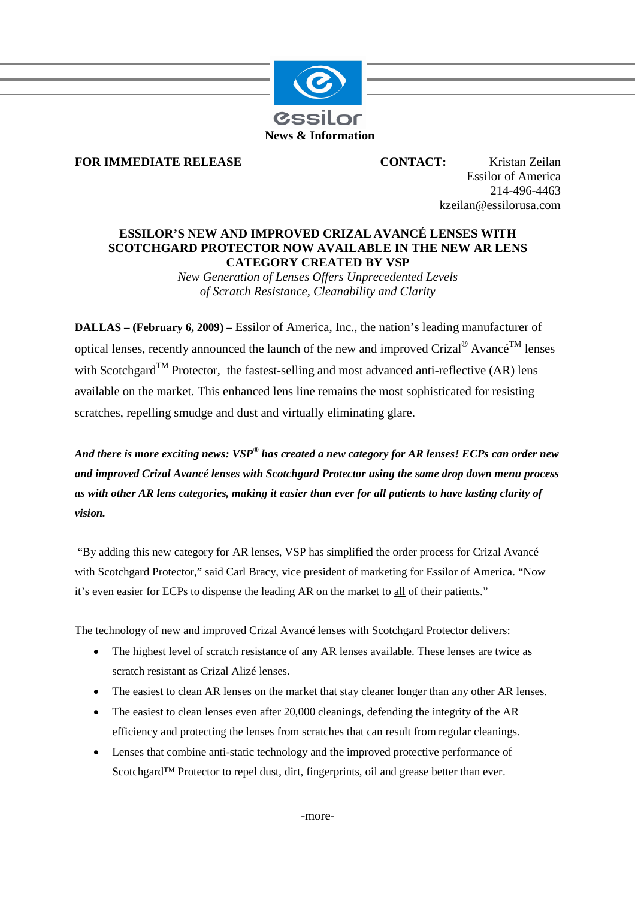

## **FOR IMMEDIATE RELEASE CONTACT:** Kristan Zeilan

Essilor of America 214-496-4463 kzeilan@essilorusa.com

## **ESSILOR'S NEW AND IMPROVED CRIZAL AVANCÉ LENSES WITH SCOTCHGARD PROTECTOR NOW AVAILABLE IN THE NEW AR LENS CATEGORY CREATED BY VSP**

*New Generation of Lenses Offers Unprecedented Levels of Scratch Resistance, Cleanability and Clarity*

**DALLAS – (February 6, 2009) –** Essilor of America, Inc., the nation's leading manufacturer of optical lenses, recently announced the launch of the new and improved Crizal® Avancé<sup>TM</sup> lenses with Scotchgard<sup>TM</sup> Protector, the fastest-selling and most advanced anti-reflective (AR) lens available on the market. This enhanced lens line remains the most sophisticated for resisting scratches, repelling smudge and dust and virtually eliminating glare.

*And there is more exciting news: VSP® has created a new category for AR lenses! ECPs can order new and improved Crizal Avancé lenses with Scotchgard Protector using the same drop down menu process as with other AR lens categories, making it easier than ever for all patients to have lasting clarity of vision.*

"By adding this new category for AR lenses, VSP has simplified the order process for Crizal Avancé with Scotchgard Protector," said Carl Bracy, vice president of marketing for Essilor of America. "Now it's even easier for ECPs to dispense the leading AR on the market to all of their patients."

The technology of new and improved Crizal Avancé lenses with Scotchgard Protector delivers:

- The highest level of scratch resistance of any AR lenses available. These lenses are twice as scratch resistant as Crizal Alizé lenses.
- The easiest to clean AR lenses on the market that stay cleaner longer than any other AR lenses.
- The easiest to clean lenses even after 20,000 cleanings, defending the integrity of the AR efficiency and protecting the lenses from scratches that can result from regular cleanings.
- Lenses that combine anti-static technology and the improved protective performance of Scotchgard™ Protector to repel dust, dirt, fingerprints, oil and grease better than ever.